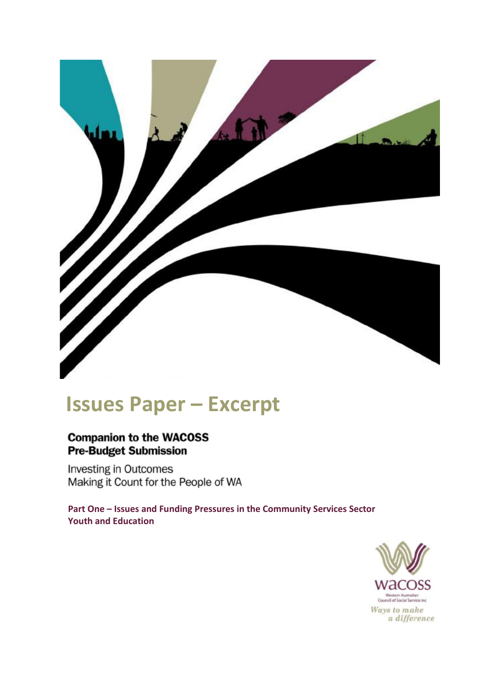

# **Issues Paper – Excerpt**

## **Companion to the WACOSS Pre-Budget Submission**

**Investing in Outcomes** Making it Count for the People of WA

**Part One – Issues and Funding Pressures in the Community Services Sector Youth and Education**

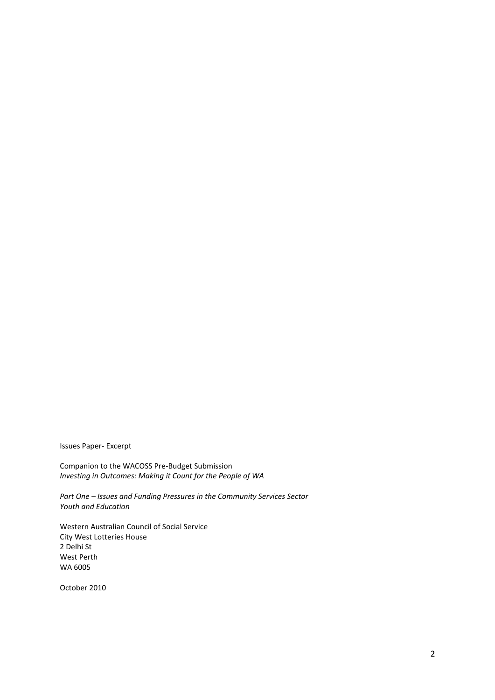Issues Paper- Excerpt

Companion to the WACOSS Pre-Budget Submission *Investing in Outcomes: Making it Count for the People of WA*

*Part One – Issues and Funding Pressures in the Community Services Sector Youth and Education*

Western Australian Council of Social Service City West Lotteries House 2 Delhi St West Perth WA 6005

October 2010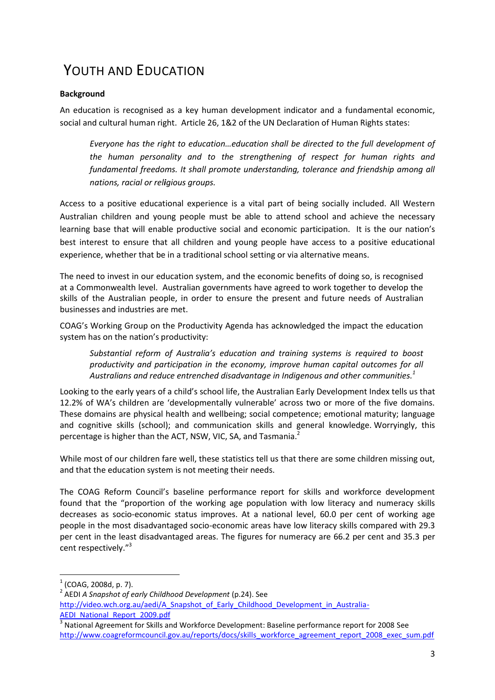# YOUTH AND EDUCATION

#### **Background**

An education is recognised as a key human development indicator and a fundamental economic, social and cultural human right. Article 26, 1&2 of the UN Declaration of Human Rights states:

*Everyone has the right to education…education shall be directed to the full development of the human personality and to the strengthening of respect for human rights and fundamental freedoms. It shall promote understanding, tolerance and friendship among all nations, racial or religious groups.*

Access to a positive educational experience is a vital part of being socially included. All Western Australian children and young people must be able to attend school and achieve the necessary learning base that will enable productive social and economic participation. It is the our nation's best interest to ensure that all children and young people have access to a positive educational experience, whether that be in a traditional school setting or via alternative means.

The need to invest in our education system, and the economic benefits of doing so, is recognised at a Commonwealth level. Australian governments have agreed to work together to develop the skills of the Australian people, in order to ensure the present and future needs of Australian businesses and industries are met.

COAG's Working Group on the Productivity Agenda has acknowledged the impact the education system has on the nation's productivity:

*Substantial reform of Australia's education and training systems is required to boost productivity and participation in the economy, improve human capital outcomes for all Australians and reduce entrenched disadvantage in Indigenous and other communities.<sup>1</sup>*

Looking to the early years of a child's school life, the Australian Early Development Index tells us that 12.2% of WA's children are 'developmentally vulnerable' across two or more of the five domains. These domains are physical health and wellbeing; social competence; emotional maturity; language and cognitive skills (school); and communication skills and general knowledge. Worryingly, this percentage is higher than the ACT, NSW, VIC, SA, and Tasmania.<sup>2</sup>

While most of our children fare well, these statistics tell us that there are some children missing out, and that the education system is not meeting their needs.

The COAG Reform Council's baseline performance report for skills and workforce development found that the "proportion of the working age population with low literacy and numeracy skills decreases as socio-economic status improves. At a national level, 60.0 per cent of working age people in the most disadvantaged socio-economic areas have low literacy skills compared with 29.3 per cent in the least disadvantaged areas. The figures for numeracy are 66.2 per cent and 35.3 per cent respectively."<sup>3</sup>

**.** 

- 2 AEDI *A Snapshot of early Childhood Development* (p.24). See
- [http://video.wch.org.au/aedi/A\\_Snapshot\\_of\\_Early\\_Childhood\\_Development\\_in\\_Australia-](http://video.wch.org.au/aedi/A_Snapshot_of_Early_Childhood_Development_in_Australia-AEDI_National_Report_2009.pdf)[AEDI\\_National\\_Report\\_2009.pdf](http://video.wch.org.au/aedi/A_Snapshot_of_Early_Childhood_Development_in_Australia-AEDI_National_Report_2009.pdf)

 $<sup>1</sup>$  (COAG, 2008d, p. 7).</sup>

<sup>3</sup> National Agreement for Skills and Workforce Development: Baseline performance report for 2008 See [http://www.coagreformcouncil.gov.au/reports/docs/skills\\_workforce\\_agreement\\_report\\_2008\\_exec\\_sum.pdf](http://www.coagreformcouncil.gov.au/reports/docs/skills_workforce_agreement_report_2008_exec_sum.pdf)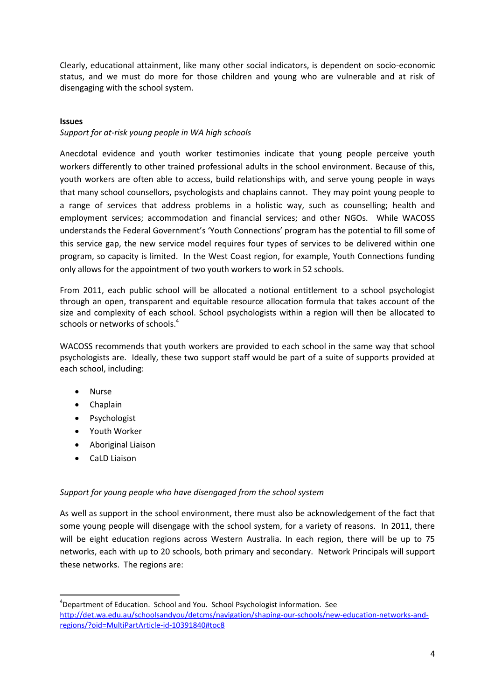Clearly, educational attainment, like many other social indicators, is dependent on socio-economic status, and we must do more for those children and young who are vulnerable and at risk of disengaging with the school system.

#### **Issues**

#### *Support for at-risk young people in WA high schools*

Anecdotal evidence and youth worker testimonies indicate that young people perceive youth workers differently to other trained professional adults in the school environment. Because of this, youth workers are often able to access, build relationships with, and serve young people in ways that many school counsellors, psychologists and chaplains cannot. They may point young people to a range of services that address problems in a holistic way, such as counselling; health and employment services; accommodation and financial services; and other NGOs. While WACOSS understands the Federal Government's 'Youth Connections' program has the potential to fill some of this service gap, the new service model requires four types of services to be delivered within one program, so capacity is limited. In the West Coast region, for example, Youth Connections funding only allows for the appointment of two youth workers to work in 52 schools.

From 2011, each public school will be allocated a notional entitlement to a school psychologist through an open, transparent and equitable resource allocation formula that takes account of the size and complexity of each school. School psychologists within a region will then be allocated to schools or networks of schools.<sup>4</sup>

WACOSS recommends that youth workers are provided to each school in the same way that school psychologists are. Ideally, these two support staff would be part of a suite of supports provided at each school, including:

- Nurse
- Chaplain
- Psychologist
- Youth Worker
- Aboriginal Liaison
- CaLD Liaison

**.** 

#### *Support for young people who have disengaged from the school system*

As well as support in the school environment, there must also be acknowledgement of the fact that some young people will disengage with the school system, for a variety of reasons. In 2011, there will be eight education regions across Western Australia. In each region, there will be up to 75 networks, each with up to 20 schools, both primary and secondary. Network Principals will support these networks. The regions are:

<sup>&</sup>lt;sup>4</sup>Department of Education. School and You. School Psychologist information. See [http://det.wa.edu.au/schoolsandyou/detcms/navigation/shaping-our-schools/new-education-networks-and](http://det.wa.edu.au/schoolsandyou/detcms/navigation/shaping-our-schools/new-education-networks-and-regions/?oid=MultiPartArticle-id-10391840#toc8)[regions/?oid=MultiPartArticle-id-10391840#toc8](http://det.wa.edu.au/schoolsandyou/detcms/navigation/shaping-our-schools/new-education-networks-and-regions/?oid=MultiPartArticle-id-10391840#toc8)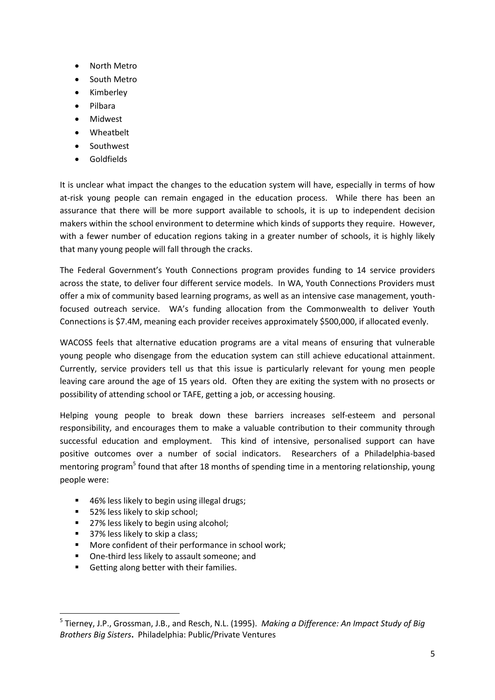- North Metro
- South Metro
- Kimberley
- Pilbara
- Midwest
- Wheatbelt
- Southwest
- Goldfields

It is unclear what impact the changes to the education system will have, especially in terms of how at-risk young people can remain engaged in the education process. While there has been an assurance that there will be more support available to schools, it is up to independent decision makers within the school environment to determine which kinds of supports they require. However, with a fewer number of education regions taking in a greater number of schools, it is highly likely that many young people will fall through the cracks.

The Federal Government's Youth Connections program provides funding to 14 service providers across the state, to deliver four different service models. In WA, Youth Connections Providers must offer a mix of community based learning programs, as well as an intensive case management, youthfocused outreach service. WA's funding allocation from the Commonwealth to deliver Youth Connections is \$7.4M, meaning each provider receives approximately \$500,000, if allocated evenly.

WACOSS feels that alternative education programs are a vital means of ensuring that vulnerable young people who disengage from the education system can still achieve educational attainment. Currently, service providers tell us that this issue is particularly relevant for young men people leaving care around the age of 15 years old. Often they are exiting the system with no prosects or possibility of attending school or TAFE, getting a job, or accessing housing.

Helping young people to break down these barriers increases self-esteem and personal responsibility, and encourages them to make a valuable contribution to their community through successful education and employment. This kind of intensive, personalised support can have positive outcomes over a number of social indicators. Researchers of a Philadelphia-based mentoring program<sup>5</sup> found that after 18 months of spending time in a mentoring relationship, young people were:

- 46% less likely to begin using illegal drugs;
- 52% less likely to skip school;
- 27% less likely to begin using alcohol;
- 37% less likely to skip a class;

**.** 

- **More confident of their performance in school work;**
- **•** One-third less likely to assault someone; and
- Getting along better with their families.

<sup>5</sup> Tierney, J.P., Grossman, J.B., and Resch, N.L. (1995). *Making a Difference: An Impact Study of Big Brothers Big Sisters***.** Philadelphia: Public/Private Ventures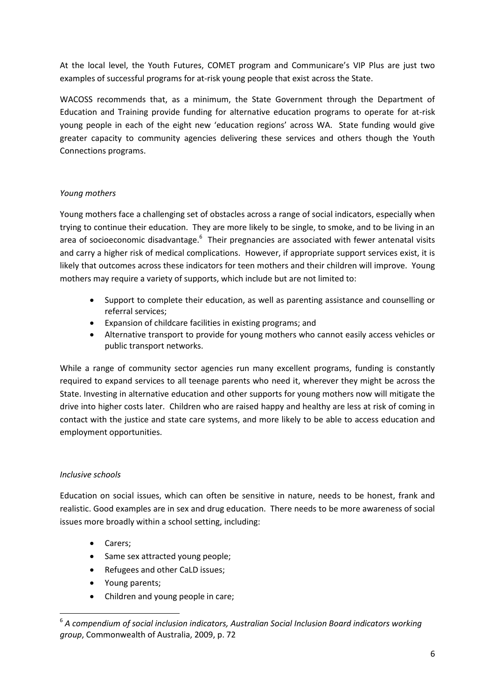At the local level, the Youth Futures, COMET program and Communicare's VIP Plus are just two examples of successful programs for at-risk young people that exist across the State.

WACOSS recommends that, as a minimum, the State Government through the Department of Education and Training provide funding for alternative education programs to operate for at-risk young people in each of the eight new 'education regions' across WA. State funding would give greater capacity to community agencies delivering these services and others though the Youth Connections programs.

#### *Young mothers*

Young mothers face a challenging set of obstacles across a range of social indicators, especially when trying to continue their education. They are more likely to be single, to smoke, and to be living in an area of socioeconomic disadvantage.<sup>6</sup> Their pregnancies are associated with fewer antenatal visits and carry a higher risk of medical complications. However, if appropriate support services exist, it is likely that outcomes across these indicators for teen mothers and their children will improve. Young mothers may require a variety of supports, which include but are not limited to:

- Support to complete their education, as well as parenting assistance and counselling or referral services;
- Expansion of childcare facilities in existing programs; and
- Alternative transport to provide for young mothers who cannot easily access vehicles or public transport networks.

While a range of community sector agencies run many excellent programs, funding is constantly required to expand services to all teenage parents who need it, wherever they might be across the State. Investing in alternative education and other supports for young mothers now will mitigate the drive into higher costs later. Children who are raised happy and healthy are less at risk of coming in contact with the justice and state care systems, and more likely to be able to access education and employment opportunities.

### *Inclusive schools*

**.** 

Education on social issues, which can often be sensitive in nature, needs to be honest, frank and realistic. Good examples are in sex and drug education. There needs to be more awareness of social issues more broadly within a school setting, including:

- Carers;
- Same sex attracted young people;
- Refugees and other CaLD issues;
- Young parents;
- Children and young people in care;

<sup>&</sup>lt;sup>6</sup> A compendium of social inclusion indicators, Australian Social Inclusion Board indicators working *group*, Commonwealth of Australia, 2009, p. 72